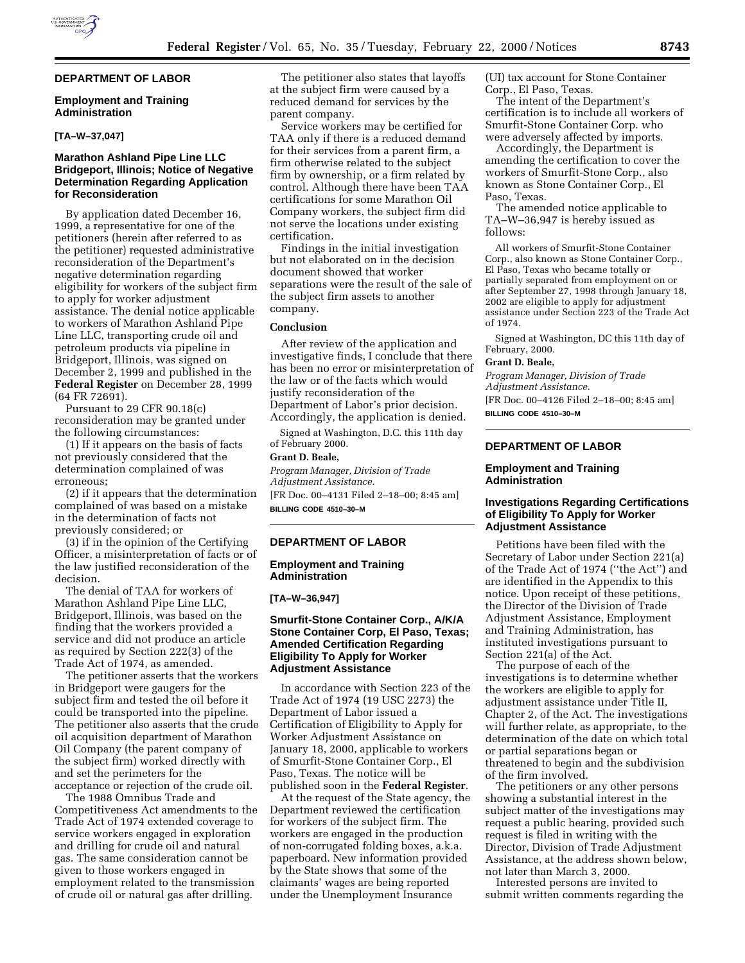# **DEPARTMENT OF LABOR**

### **Employment and Training Administration**

#### **[TA–W–37,047]**

# **Marathon Ashland Pipe Line LLC Bridgeport, Illinois; Notice of Negative Determination Regarding Application for Reconsideration**

By application dated December 16, 1999, a representative for one of the petitioners (herein after referred to as the petitioner) requested administrative reconsideration of the Department's negative determination regarding eligibility for workers of the subject firm to apply for worker adjustment assistance. The denial notice applicable to workers of Marathon Ashland Pipe Line LLC, transporting crude oil and petroleum products via pipeline in Bridgeport, Illinois, was signed on December 2, 1999 and published in the **Federal Register** on December 28, 1999 (64 FR 72691).

Pursuant to 29 CFR 90.18(c) reconsideration may be granted under the following circumstances:

(1) If it appears on the basis of facts not previously considered that the determination complained of was erroneous;

(2) if it appears that the determination complained of was based on a mistake in the determination of facts not previously considered; or

(3) if in the opinion of the Certifying Officer, a misinterpretation of facts or of the law justified reconsideration of the decision.

The denial of TAA for workers of Marathon Ashland Pipe Line LLC, Bridgeport, Illinois, was based on the finding that the workers provided a service and did not produce an article as required by Section 222(3) of the Trade Act of 1974, as amended.

The petitioner asserts that the workers in Bridgeport were gaugers for the subject firm and tested the oil before it could be transported into the pipeline. The petitioner also asserts that the crude oil acquisition department of Marathon Oil Company (the parent company of the subject firm) worked directly with and set the perimeters for the acceptance or rejection of the crude oil.

The 1988 Omnibus Trade and Competitiveness Act amendments to the Trade Act of 1974 extended coverage to service workers engaged in exploration and drilling for crude oil and natural gas. The same consideration cannot be given to those workers engaged in employment related to the transmission of crude oil or natural gas after drilling.

The petitioner also states that layoffs at the subject firm were caused by a reduced demand for services by the parent company.

Service workers may be certified for TAA only if there is a reduced demand for their services from a parent firm, a firm otherwise related to the subject firm by ownership, or a firm related by control. Although there have been TAA certifications for some Marathon Oil Company workers, the subject firm did not serve the locations under existing certification.

Findings in the initial investigation but not elaborated on in the decision document showed that worker separations were the result of the sale of the subject firm assets to another company.

#### **Conclusion**

After review of the application and investigative finds, I conclude that there has been no error or misinterpretation of the law or of the facts which would justify reconsideration of the Department of Labor's prior decision. Accordingly, the application is denied.

Signed at Washington, D.C. this 11th day of February 2000.

# **Grant D. Beale,**

*Program Manager, Division of Trade Adjustment Assistance.*

[FR Doc. 00–4131 Filed 2–18–00; 8:45 am] **BILLING CODE 4510–30–M**

# **DEPARTMENT OF LABOR**

### **Employment and Training Administration**

#### **[TA–W–36,947]**

# **Smurfit-Stone Container Corp., A/K/A Stone Container Corp, El Paso, Texas; Amended Certification Regarding Eligibility To Apply for Worker Adjustment Assistance**

In accordance with Section 223 of the Trade Act of 1974 (19 USC 2273) the Department of Labor issued a Certification of Eligibility to Apply for Worker Adjustment Assistance on January 18, 2000, applicable to workers of Smurfit-Stone Container Corp., El Paso, Texas. The notice will be published soon in the **Federal Register**.

At the request of the State agency, the Department reviewed the certification for workers of the subject firm. The workers are engaged in the production of non-corrugated folding boxes, a.k.a. paperboard. New information provided by the State shows that some of the claimants' wages are being reported under the Unemployment Insurance

(UI) tax account for Stone Container Corp., El Paso, Texas.

The intent of the Department's certification is to include all workers of Smurfit-Stone Container Corp. who were adversely affected by imports.

Accordingly, the Department is amending the certification to cover the workers of Smurfit-Stone Corp., also known as Stone Container Corp., El Paso, Texas.

The amended notice applicable to TA–W–36,947 is hereby issued as follows:

All workers of Smurfit-Stone Container Corp., also known as Stone Container Corp., El Paso, Texas who became totally or partially separated from employment on or after September 27, 1998 through January 18, 2002 are eligible to apply for adjustment assistance under Section 223 of the Trade Act of 1974.

Signed at Washington, DC this 11th day of February, 2000.

### **Grant D. Beale,**

*Program Manager, Division of Trade Adjustment Assistance.*

[FR Doc. 00–4126 Filed 2–18–00; 8:45 am] **BILLING CODE 4510–30–M**

# **DEPARTMENT OF LABOR**

#### **Employment and Training Administration**

### **Investigations Regarding Certifications of Eligibility To Apply for Worker Adjustment Assistance**

Petitions have been filed with the Secretary of Labor under Section 221(a) of the Trade Act of 1974 (''the Act'') and are identified in the Appendix to this notice. Upon receipt of these petitions, the Director of the Division of Trade Adjustment Assistance, Employment and Training Administration, has instituted investigations pursuant to Section 221(a) of the Act.

The purpose of each of the investigations is to determine whether the workers are eligible to apply for adjustment assistance under Title II, Chapter 2, of the Act. The investigations will further relate, as appropriate, to the determination of the date on which total or partial separations began or threatened to begin and the subdivision of the firm involved.

The petitioners or any other persons showing a substantial interest in the subject matter of the investigations may request a public hearing, provided such request is filed in writing with the Director, Division of Trade Adjustment Assistance, at the address shown below, not later than March 3, 2000.

Interested persons are invited to submit written comments regarding the